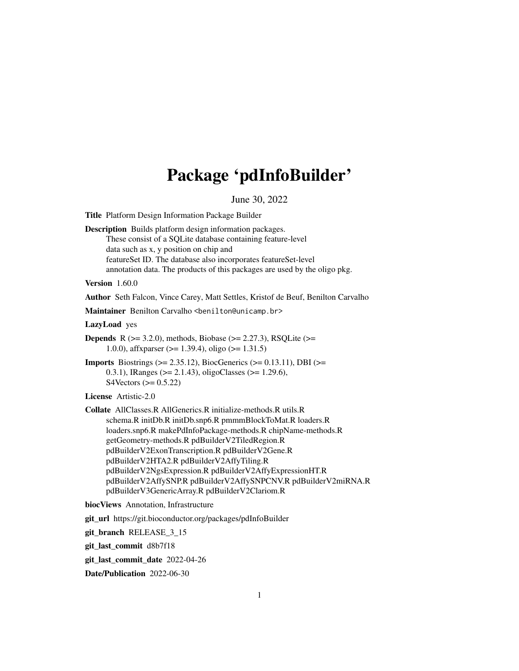# Package 'pdInfoBuilder'

June 30, 2022

Title Platform Design Information Package Builder Description Builds platform design information packages. These consist of a SQLite database containing feature-level

data such as x, y position on chip and featureSet ID. The database also incorporates featureSet-level annotation data. The products of this packages are used by the oligo pkg.

Version 1.60.0

Author Seth Falcon, Vince Carey, Matt Settles, Kristof de Beuf, Benilton Carvalho

Maintainer Benilton Carvalho <br/>benilton@unicamp.br>

LazyLoad yes

**Depends** R ( $>= 3.2.0$ ), methods, Biobase ( $>= 2.27.3$ ), RSQLite ( $>=$ 1.0.0), affxparser (>= 1.39.4), oligo (>= 1.31.5)

**Imports** Biostrings ( $>= 2.35.12$ ), BiocGenerics ( $>= 0.13.11$ ), DBI ( $>=$ 0.3.1), IRanges (>= 2.1.43), oligoClasses (>= 1.29.6), S4Vectors  $(>= 0.5.22)$ 

License Artistic-2.0

Collate AllClasses.R AllGenerics.R initialize-methods.R utils.R schema.R initDb.R initDb.snp6.R pmmmBlockToMat.R loaders.R loaders.snp6.R makePdInfoPackage-methods.R chipName-methods.R getGeometry-methods.R pdBuilderV2TiledRegion.R pdBuilderV2ExonTranscription.R pdBuilderV2Gene.R pdBuilderV2HTA2.R pdBuilderV2AffyTiling.R pdBuilderV2NgsExpression.R pdBuilderV2AffyExpressionHT.R pdBuilderV2AffySNP.R pdBuilderV2AffySNPCNV.R pdBuilderV2miRNA.R pdBuilderV3GenericArray.R pdBuilderV2Clariom.R

biocViews Annotation, Infrastructure

git\_url https://git.bioconductor.org/packages/pdInfoBuilder

git branch RELEASE 3 15

git\_last\_commit d8b7f18

git\_last\_commit\_date 2022-04-26

Date/Publication 2022-06-30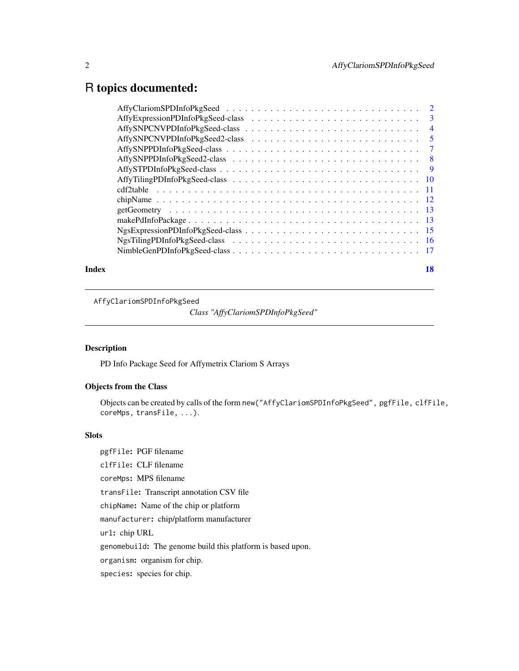# <span id="page-1-0"></span>R topics documented:

| 18 |
|----|
|    |

AffyClariomSPDInfoPkgSeed

*Class "AffyClariomSPDInfoPkgSeed"*

# Description

PD Info Package Seed for Affymetrix Clariom S Arrays

# Objects from the Class

Objects can be created by calls of the form new("AffyClariomSPDInfoPkgSeed", pgfFile, clfFile, coreMps, transFile, ...).

# Slots

pgfFile: PGF filename clfFile: CLF filename coreMps: MPS filename transFile: Transcript annotation CSV file chipName: Name of the chip or platform manufacturer: chip/platform manufacturer url: chip URL genomebuild: The genome build this platform is based upon. organism: organism for chip. species: species for chip.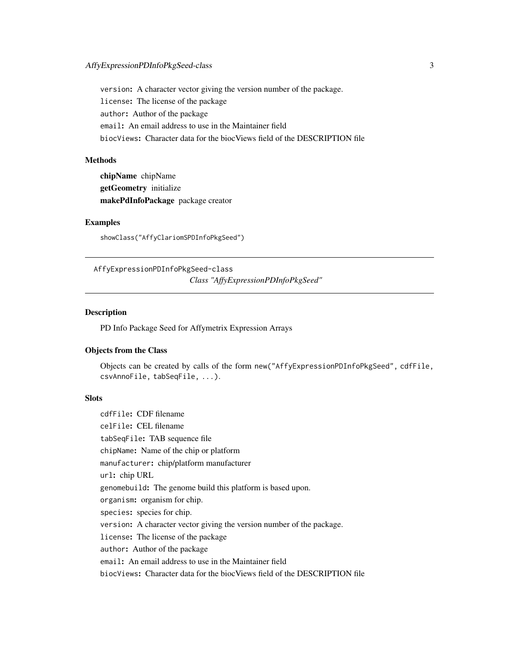<span id="page-2-0"></span>version: A character vector giving the version number of the package. license: The license of the package author: Author of the package email: An email address to use in the Maintainer field biocViews: Character data for the biocViews field of the DESCRIPTION file

# **Methods**

chipName chipName getGeometry initialize makePdInfoPackage package creator

# Examples

showClass("AffyClariomSPDInfoPkgSeed")

AffyExpressionPDInfoPkgSeed-class *Class "AffyExpressionPDInfoPkgSeed"*

# Description

PD Info Package Seed for Affymetrix Expression Arrays

### Objects from the Class

Objects can be created by calls of the form new("AffyExpressionPDInfoPkgSeed", cdfFile, csvAnnoFile, tabSeqFile, ...).

#### **Slots**

cdfFile: CDF filename celFile: CEL filename tabSeqFile: TAB sequence file chipName: Name of the chip or platform manufacturer: chip/platform manufacturer url: chip URL genomebuild: The genome build this platform is based upon. organism: organism for chip. species: species for chip. version: A character vector giving the version number of the package. license: The license of the package author: Author of the package email: An email address to use in the Maintainer field biocViews: Character data for the biocViews field of the DESCRIPTION file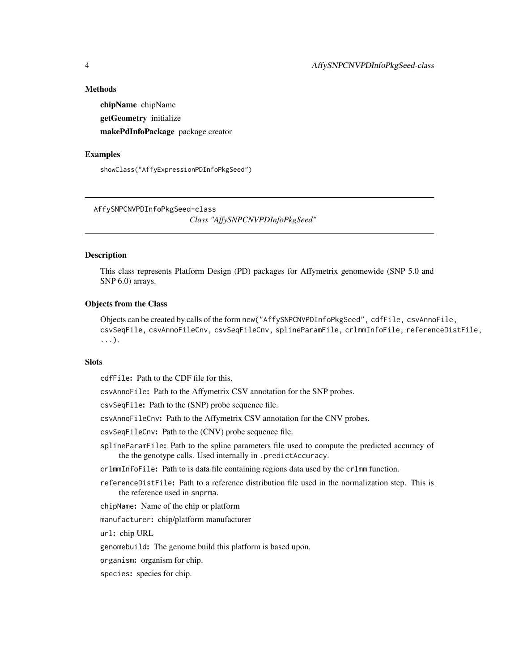#### <span id="page-3-0"></span>Methods

chipName chipName getGeometry initialize makePdInfoPackage package creator

#### Examples

showClass("AffyExpressionPDInfoPkgSeed")

AffySNPCNVPDInfoPkgSeed-class *Class "AffySNPCNVPDInfoPkgSeed"*

#### Description

This class represents Platform Design (PD) packages for Affymetrix genomewide (SNP 5.0 and SNP 6.0) arrays.

#### Objects from the Class

Objects can be created by calls of the form new("AffySNPCNVPDInfoPkgSeed", cdfFile, csvAnnoFile, csvSeqFile, csvAnnoFileCnv, csvSeqFileCnv, splineParamFile, crlmmInfoFile, referenceDistFile, ...).

#### **Slots**

cdfFile: Path to the CDF file for this.

csvAnnoFile: Path to the Affymetrix CSV annotation for the SNP probes.

csvSeqFile: Path to the (SNP) probe sequence file.

csvAnnoFileCnv: Path to the Affymetrix CSV annotation for the CNV probes.

csvSeqFileCnv: Path to the (CNV) probe sequence file.

splineParamFile: Path to the spline parameters file used to compute the predicted accuracy of the the genotype calls. Used internally in .predictAccuracy.

crlmmInfoFile: Path to is data file containing regions data used by the crlmm function.

referenceDistFile: Path to a reference distribution file used in the normalization step. This is the reference used in snprma.

chipName: Name of the chip or platform

manufacturer: chip/platform manufacturer

url: chip URL

genomebuild: The genome build this platform is based upon.

organism: organism for chip.

species: species for chip.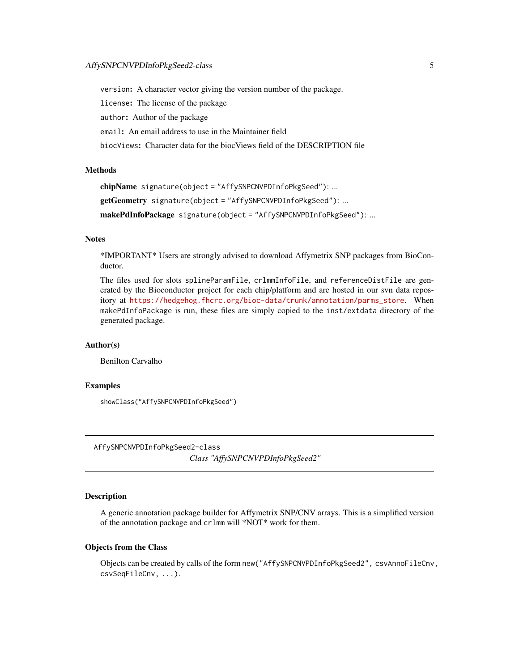<span id="page-4-0"></span>version: A character vector giving the version number of the package.

license: The license of the package

author: Author of the package

email: An email address to use in the Maintainer field

biocViews: Character data for the biocViews field of the DESCRIPTION file

#### Methods

```
chipName signature(object = "AffySNPCNVPDInfoPkgSeed"): ...
getGeometry signature(object = "AffySNPCNVPDInfoPkgSeed"): ...
makePdInfoPackage signature(object = "AffySNPCNVPDInfoPkgSeed"): ...
```
#### **Notes**

\*IMPORTANT\* Users are strongly advised to download Affymetrix SNP packages from BioConductor.

The files used for slots splineParamFile, crlmmInfoFile, and referenceDistFile are generated by the Bioconductor project for each chip/platform and are hosted in our svn data repository at [https://hedgehog.fhcrc.org/bioc-data/trunk/annotation/parms\\_store](https://hedgehog.fhcrc.org/bioc-data/trunk/annotation/parms_store). When makePdInfoPackage is run, these files are simply copied to the inst/extdata directory of the generated package.

# Author(s)

Benilton Carvalho

#### Examples

showClass("AffySNPCNVPDInfoPkgSeed")

AffySNPCNVPDInfoPkgSeed2-class *Class "AffySNPCNVPDInfoPkgSeed2"*

### **Description**

A generic annotation package builder for Affymetrix SNP/CNV arrays. This is a simplified version of the annotation package and crlmm will \*NOT\* work for them.

#### Objects from the Class

Objects can be created by calls of the form new ("AffySNPCNVPDInfoPkgSeed2", csvAnnoFileCnv, csvSeqFileCnv, ...).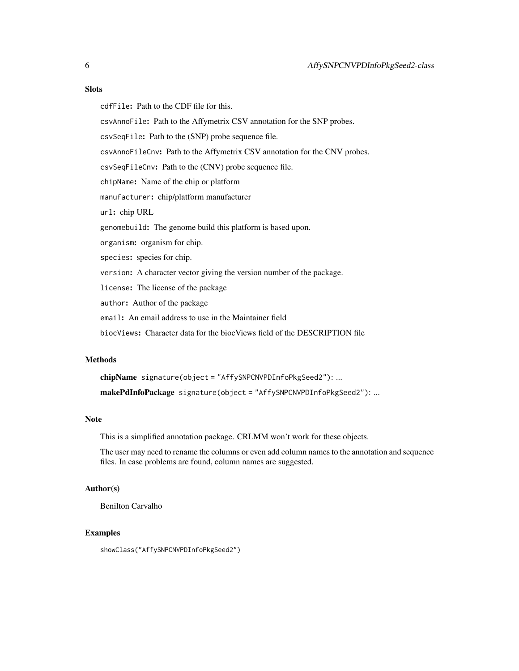# **Slots**

cdfFile: Path to the CDF file for this.

csvAnnoFile: Path to the Affymetrix CSV annotation for the SNP probes.

csvSeqFile: Path to the (SNP) probe sequence file.

csvAnnoFileCnv: Path to the Affymetrix CSV annotation for the CNV probes.

csvSeqFileCnv: Path to the (CNV) probe sequence file.

chipName: Name of the chip or platform

manufacturer: chip/platform manufacturer

url: chip URL

genomebuild: The genome build this platform is based upon.

organism: organism for chip.

species: species for chip.

version: A character vector giving the version number of the package.

license: The license of the package

author: Author of the package

email: An email address to use in the Maintainer field

biocViews: Character data for the biocViews field of the DESCRIPTION file

#### Methods

chipName signature(object = "AffySNPCNVPDInfoPkgSeed2"): ... makePdInfoPackage signature(object = "AffySNPCNVPDInfoPkgSeed2"): ...

# Note

This is a simplified annotation package. CRLMM won't work for these objects.

The user may need to rename the columns or even add column names to the annotation and sequence files. In case problems are found, column names are suggested.

# Author(s)

Benilton Carvalho

# Examples

showClass("AffySNPCNVPDInfoPkgSeed2")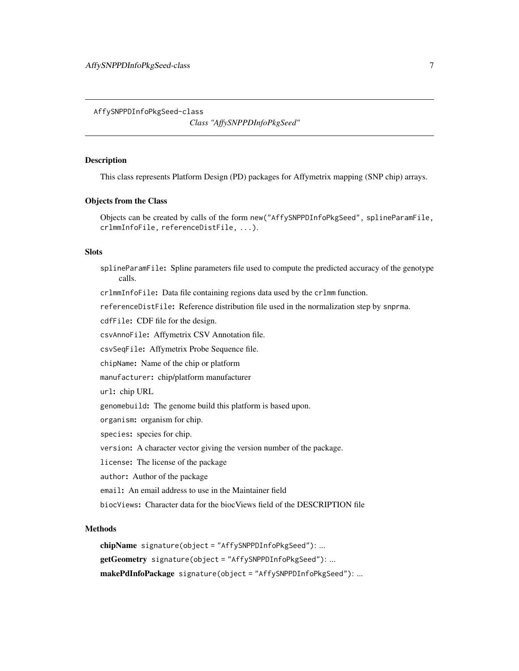<span id="page-6-0"></span>AffySNPPDInfoPkgSeed-class

*Class "AffySNPPDInfoPkgSeed"*

#### Description

This class represents Platform Design (PD) packages for Affymetrix mapping (SNP chip) arrays.

#### Objects from the Class

Objects can be created by calls of the form new("AffySNPPDInfoPkgSeed", splineParamFile, crlmmInfoFile, referenceDistFile, ...).

#### Slots

splineParamFile: Spline parameters file used to compute the predicted accuracy of the genotype calls.

crlmmInfoFile: Data file containing regions data used by the crlmm function.

referenceDistFile: Reference distribution file used in the normalization step by snprma.

cdfFile: CDF file for the design.

csvAnnoFile: Affymetrix CSV Annotation file.

csvSeqFile: Affymetrix Probe Sequence file.

chipName: Name of the chip or platform

manufacturer: chip/platform manufacturer

url: chip URL

genomebuild: The genome build this platform is based upon.

organism: organism for chip.

species: species for chip.

version: A character vector giving the version number of the package.

license: The license of the package

author: Author of the package

email: An email address to use in the Maintainer field

biocViews: Character data for the biocViews field of the DESCRIPTION file

# Methods

chipName signature(object = "AffySNPPDInfoPkgSeed"): ... getGeometry signature(object = "AffySNPPDInfoPkgSeed"): ... makePdInfoPackage signature(object = "AffySNPPDInfoPkgSeed"): ...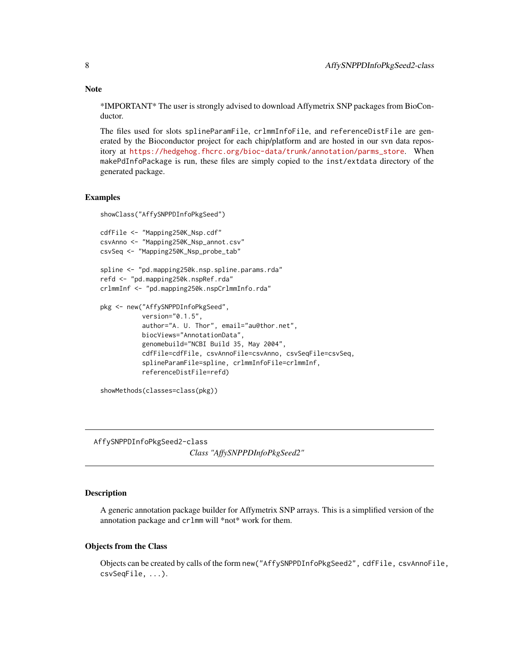**Note** 

\*IMPORTANT\* The user is strongly advised to download Affymetrix SNP packages from BioConductor.

The files used for slots splineParamFile, crlmmInfoFile, and referenceDistFile are generated by the Bioconductor project for each chip/platform and are hosted in our svn data repository at [https://hedgehog.fhcrc.org/bioc-data/trunk/annotation/parms\\_store](https://hedgehog.fhcrc.org/bioc-data/trunk/annotation/parms_store). When makePdInfoPackage is run, these files are simply copied to the inst/extdata directory of the generated package.

#### Examples

```
showClass("AffySNPPDInfoPkgSeed")
```

```
cdfFile <- "Mapping250K_Nsp.cdf"
csvAnno <- "Mapping250K_Nsp_annot.csv"
csvSeq <- "Mapping250K_Nsp_probe_tab"
```

```
spline <- "pd.mapping250k.nsp.spline.params.rda"
refd <- "pd.mapping250k.nspRef.rda"
crlmmInf <- "pd.mapping250k.nspCrlmmInfo.rda"
```

```
pkg <- new("AffySNPPDInfoPkgSeed",
           version="0.1.5",
           author="A. U. Thor", email="au@thor.net",
           biocViews="AnnotationData",
           genomebuild="NCBI Build 35, May 2004",
           cdfFile=cdfFile, csvAnnoFile=csvAnno, csvSeqFile=csvSeq,
           splineParamFile=spline, crlmmInfoFile=crlmmInf,
           referenceDistFile=refd)
```

```
showMethods(classes=class(pkg))
```
AffySNPPDInfoPkgSeed2-class

*Class "AffySNPPDInfoPkgSeed2"*

#### Description

A generic annotation package builder for Affymetrix SNP arrays. This is a simplified version of the annotation package and crlmm will \*not\* work for them.

#### Objects from the Class

Objects can be created by calls of the form new("AffySNPPDInfoPkgSeed2", cdfFile, csvAnnoFile, csvSeqFile, ...).

<span id="page-7-0"></span>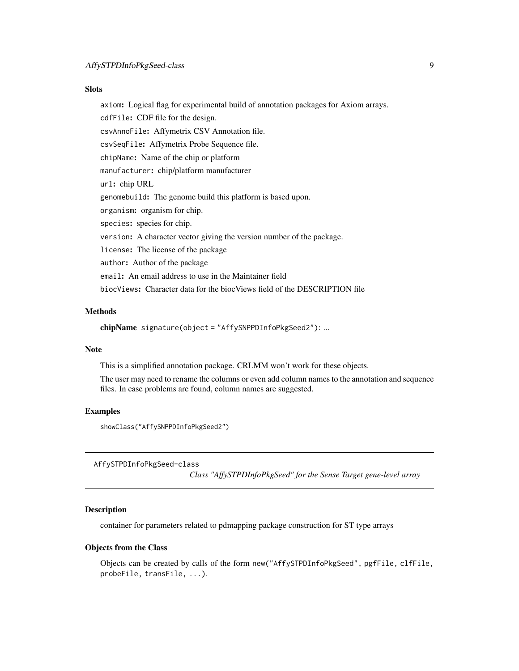#### <span id="page-8-0"></span>**Slots**

axiom: Logical flag for experimental build of annotation packages for Axiom arrays.

cdfFile: CDF file for the design.

csvAnnoFile: Affymetrix CSV Annotation file.

csvSeqFile: Affymetrix Probe Sequence file.

chipName: Name of the chip or platform

manufacturer: chip/platform manufacturer

url: chip URL

genomebuild: The genome build this platform is based upon.

organism: organism for chip.

species: species for chip.

version: A character vector giving the version number of the package.

license: The license of the package

author: Author of the package

email: An email address to use in the Maintainer field

biocViews: Character data for the biocViews field of the DESCRIPTION file

# Methods

```
chipName signature(object = "AffySNPPDInfoPkgSeed2"): ...
```
### Note

This is a simplified annotation package. CRLMM won't work for these objects.

The user may need to rename the columns or even add column names to the annotation and sequence files. In case problems are found, column names are suggested.

#### Examples

showClass("AffySNPPDInfoPkgSeed2")

AffySTPDInfoPkgSeed-class

*Class "AffySTPDInfoPkgSeed" for the Sense Target gene-level array*

#### **Description**

container for parameters related to pdmapping package construction for ST type arrays

#### Objects from the Class

Objects can be created by calls of the form new("AffySTPDInfoPkgSeed", pgfFile, clfFile, probeFile, transFile, ...).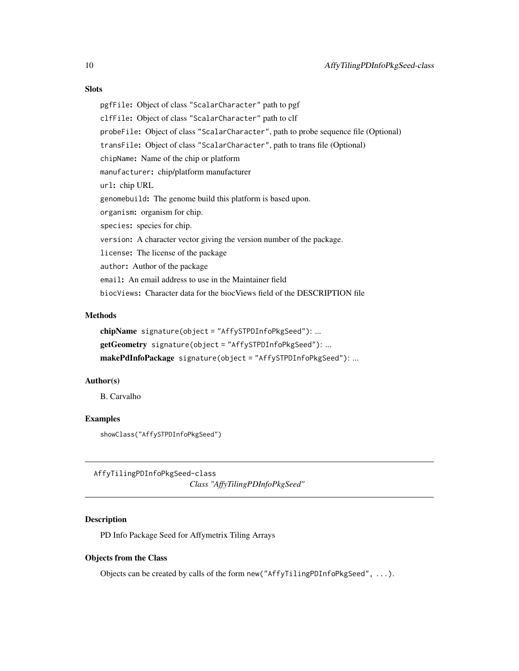# <span id="page-9-0"></span>**Slots**

pgfFile: Object of class "ScalarCharacter" path to pgf clfFile: Object of class "ScalarCharacter" path to clf probeFile: Object of class "ScalarCharacter", path to probe sequence file (Optional) transFile: Object of class "ScalarCharacter", path to trans file (Optional) chipName: Name of the chip or platform manufacturer: chip/platform manufacturer url: chip URL genomebuild: The genome build this platform is based upon. organism: organism for chip. species: species for chip. version: A character vector giving the version number of the package. license: The license of the package author: Author of the package email: An email address to use in the Maintainer field biocViews: Character data for the biocViews field of the DESCRIPTION file

#### Methods

chipName signature(object = "AffySTPDInfoPkgSeed"): ... getGeometry signature(object = "AffySTPDInfoPkgSeed"): ... makePdInfoPackage signature(object = "AffySTPDInfoPkgSeed"): ...

### Author(s)

B. Carvalho

# Examples

showClass("AffySTPDInfoPkgSeed")

AffyTilingPDInfoPkgSeed-class *Class "AffyTilingPDInfoPkgSeed"*

# **Description**

PD Info Package Seed for Affymetrix Tiling Arrays

#### Objects from the Class

Objects can be created by calls of the form new("AffyTilingPDInfoPkgSeed", ...).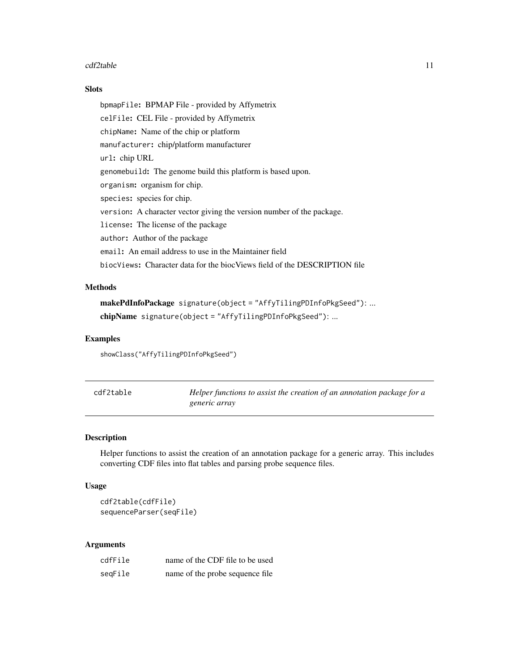#### <span id="page-10-0"></span> $cdf2table$  11

# Slots

bpmapFile: BPMAP File - provided by Affymetrix celFile: CEL File - provided by Affymetrix chipName: Name of the chip or platform manufacturer: chip/platform manufacturer url: chip URL genomebuild: The genome build this platform is based upon. organism: organism for chip. species: species for chip. version: A character vector giving the version number of the package. license: The license of the package author: Author of the package email: An email address to use in the Maintainer field biocViews: Character data for the biocViews field of the DESCRIPTION file

# **Methods**

makePdInfoPackage signature(object = "AffyTilingPDInfoPkgSeed"): ... chipName signature(object = "AffyTilingPDInfoPkgSeed"): ...

#### Examples

showClass("AffyTilingPDInfoPkgSeed")

| cdf2table | Helper functions to assist the creation of an annotation package for a |
|-----------|------------------------------------------------------------------------|
|           | generic array                                                          |

#### Description

Helper functions to assist the creation of an annotation package for a generic array. This includes converting CDF files into flat tables and parsing probe sequence files.

#### Usage

cdf2table(cdfFile) sequenceParser(seqFile)

# Arguments

| cdfFile | name of the CDF file to be used  |
|---------|----------------------------------|
| seqFile | name of the probe sequence file. |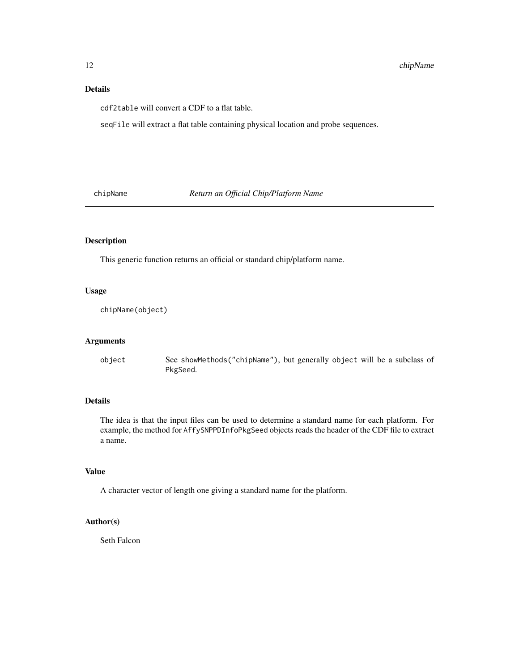# <span id="page-11-0"></span>Details

cdf2table will convert a CDF to a flat table.

seqFile will extract a flat table containing physical location and probe sequences.

chipName *Return an Official Chip/Platform Name*

# Description

This generic function returns an official or standard chip/platform name.

#### Usage

chipName(object)

#### Arguments

object See showMethods("chipName"), but generally object will be a subclass of PkgSeed.

# Details

The idea is that the input files can be used to determine a standard name for each platform. For example, the method for AffySNPPDInfoPkgSeed objects reads the header of the CDF file to extract a name.

# Value

A character vector of length one giving a standard name for the platform.

# Author(s)

Seth Falcon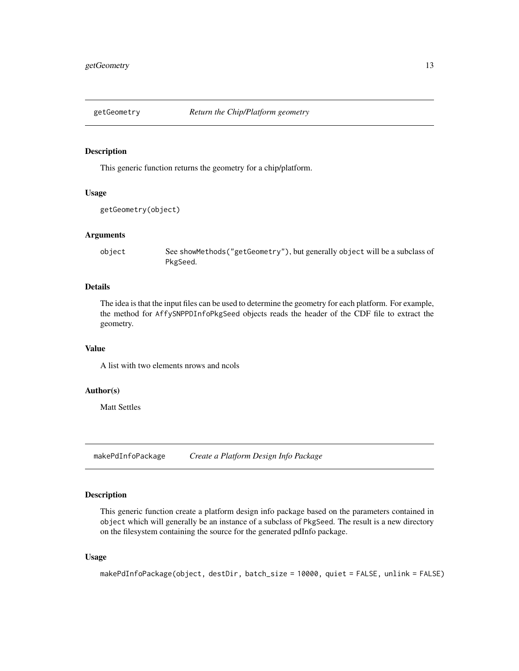<span id="page-12-0"></span>

#### Description

This generic function returns the geometry for a chip/platform.

#### Usage

```
getGeometry(object)
```
#### Arguments

object See showMethods("getGeometry"), but generally object will be a subclass of PkgSeed.

# Details

The idea is that the input files can be used to determine the geometry for each platform. For example, the method for AffySNPPDInfoPkgSeed objects reads the header of the CDF file to extract the geometry.

### Value

A list with two elements nrows and ncols

# Author(s)

Matt Settles

makePdInfoPackage *Create a Platform Design Info Package*

# Description

This generic function create a platform design info package based on the parameters contained in object which will generally be an instance of a subclass of PkgSeed. The result is a new directory on the filesystem containing the source for the generated pdInfo package.

#### Usage

makePdInfoPackage(object, destDir, batch\_size = 10000, quiet = FALSE, unlink = FALSE)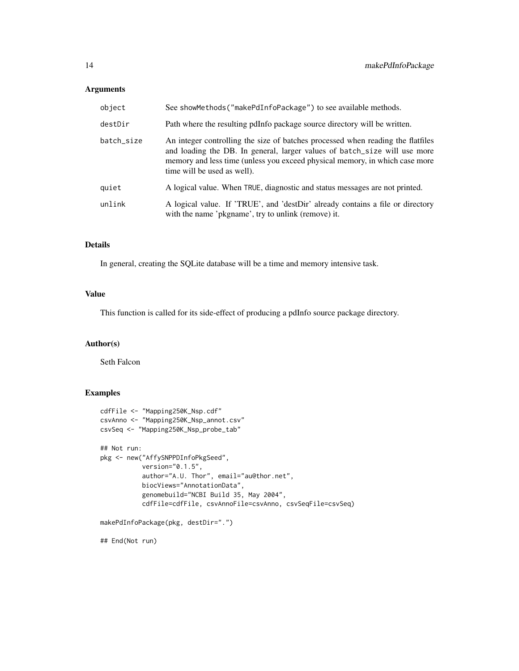# Arguments

| object     | See showMethods ("makePdInfoPackage") to see available methods.                                                                                                                                                                                                            |
|------------|----------------------------------------------------------------------------------------------------------------------------------------------------------------------------------------------------------------------------------------------------------------------------|
| destDir    | Path where the resulting pdInfo package source directory will be written.                                                                                                                                                                                                  |
| batch_size | An integer controlling the size of batches processed when reading the flatfiles<br>and loading the DB. In general, larger values of batch_size will use more<br>memory and less time (unless you exceed physical memory, in which case more<br>time will be used as well). |
| quiet      | A logical value. When TRUE, diagnostic and status messages are not printed.                                                                                                                                                                                                |
| unlink     | A logical value. If 'TRUE', and 'destDir' already contains a file or directory<br>with the name 'pkgname', try to unlink (remove) it.                                                                                                                                      |

# Details

In general, creating the SQLite database will be a time and memory intensive task.

# Value

This function is called for its side-effect of producing a pdInfo source package directory.

# Author(s)

Seth Falcon

# Examples

```
cdfFile <- "Mapping250K_Nsp.cdf"
csvAnno <- "Mapping250K_Nsp_annot.csv"
csvSeq <- "Mapping250K_Nsp_probe_tab"
## Not run:
pkg <- new("AffySNPPDInfoPkgSeed",
          version="0.1.5",
           author="A.U. Thor", email="au@thor.net",
          biocViews="AnnotationData",
           genomebuild="NCBI Build 35, May 2004",
           cdfFile=cdfFile, csvAnnoFile=csvAnno, csvSeqFile=csvSeq)
makePdInfoPackage(pkg, destDir=".")
```
## End(Not run)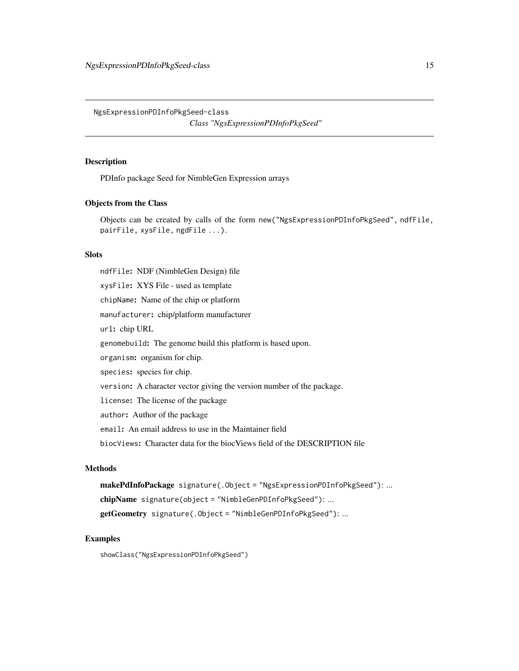<span id="page-14-0"></span>NgsExpressionPDInfoPkgSeed-class

*Class "NgsExpressionPDInfoPkgSeed"*

#### Description

PDInfo package Seed for NimbleGen Expression arrays

#### Objects from the Class

Objects can be created by calls of the form new("NgsExpressionPDInfoPkgSeed", ndfFile, pairFile, xysFile, ngdFile ...).

#### **Slots**

ndfFile: NDF (NimbleGen Design) file xysFile: XYS File - used as template chipName: Name of the chip or platform manufacturer: chip/platform manufacturer url: chip URL genomebuild: The genome build this platform is based upon. organism: organism for chip. species: species for chip. version: A character vector giving the version number of the package. license: The license of the package author: Author of the package email: An email address to use in the Maintainer field biocViews: Character data for the biocViews field of the DESCRIPTION file

# Methods

makePdInfoPackage signature(.Object = "NgsExpressionPDInfoPkgSeed"): ... chipName signature(object = "NimbleGenPDInfoPkgSeed"): ... getGeometry signature(.Object = "NimbleGenPDInfoPkgSeed"): ...

#### Examples

showClass("NgsExpressionPDInfoPkgSeed")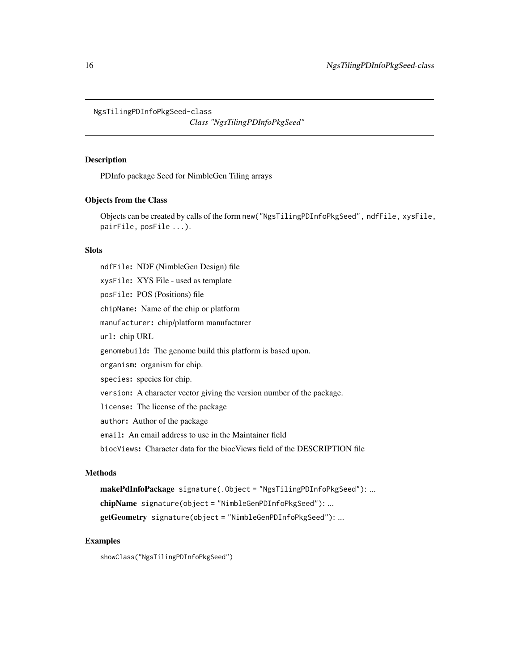<span id="page-15-0"></span>NgsTilingPDInfoPkgSeed-class

*Class "NgsTilingPDInfoPkgSeed"*

#### Description

PDInfo package Seed for NimbleGen Tiling arrays

# Objects from the Class

Objects can be created by calls of the form new("NgsTilingPDInfoPkgSeed", ndfFile, xysFile, pairFile, posFile ...).

#### **Slots**

ndfFile: NDF (NimbleGen Design) file xysFile: XYS File - used as template posFile: POS (Positions) file chipName: Name of the chip or platform manufacturer: chip/platform manufacturer url: chip URL genomebuild: The genome build this platform is based upon. organism: organism for chip. species: species for chip. version: A character vector giving the version number of the package. license: The license of the package author: Author of the package email: An email address to use in the Maintainer field biocViews: Character data for the biocViews field of the DESCRIPTION file

# Methods

makePdInfoPackage signature(.Object = "NgsTilingPDInfoPkgSeed"): ... chipName signature(object = "NimbleGenPDInfoPkgSeed"): ... getGeometry signature(object = "NimbleGenPDInfoPkgSeed"): ...

# Examples

showClass("NgsTilingPDInfoPkgSeed")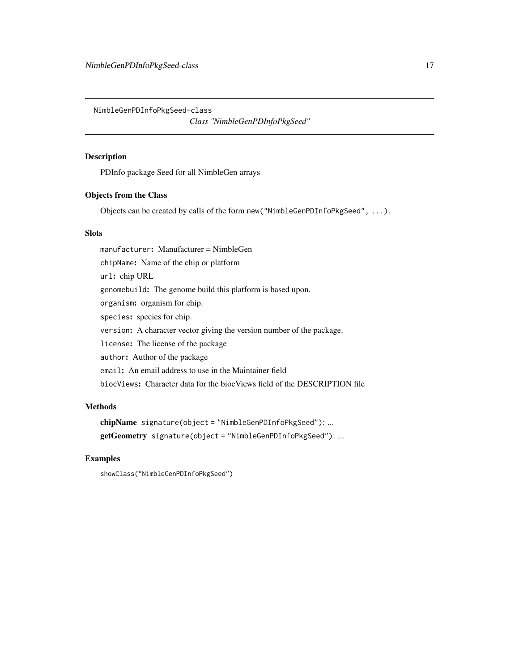<span id="page-16-0"></span>NimbleGenPDInfoPkgSeed-class

*Class "NimbleGenPDInfoPkgSeed"*

#### Description

PDInfo package Seed for all NimbleGen arrays

# Objects from the Class

Objects can be created by calls of the form new("NimbleGenPDInfoPkgSeed", ...).

# **Slots**

manufacturer: Manufacturer = NimbleGen chipName: Name of the chip or platform url: chip URL genomebuild: The genome build this platform is based upon. organism: organism for chip. species: species for chip. version: A character vector giving the version number of the package. license: The license of the package author: Author of the package email: An email address to use in the Maintainer field biocViews: Character data for the biocViews field of the DESCRIPTION file

# Methods

```
chipName signature(object = "NimbleGenPDInfoPkgSeed"): ...
getGeometry signature(object = "NimbleGenPDInfoPkgSeed"): ...
```
#### Examples

showClass("NimbleGenPDInfoPkgSeed")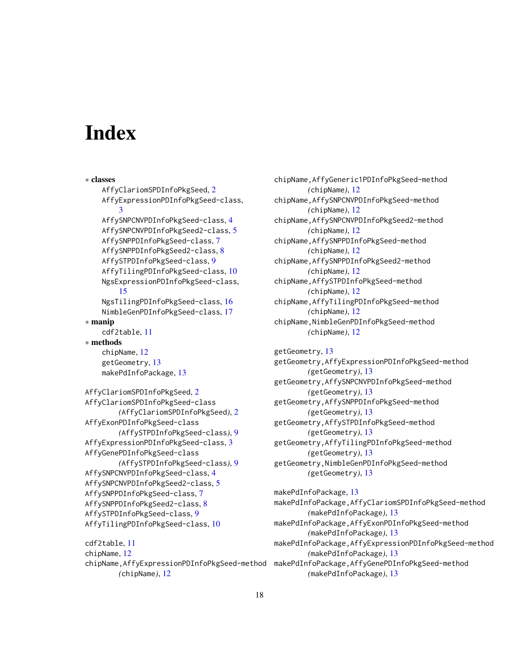# <span id="page-17-0"></span>**Index**

∗ classes AffyClariomSPDInfoPkgSeed, [2](#page-1-0) AffyExpressionPDInfoPkgSeed-class, [3](#page-2-0) AffySNPCNVPDInfoPkgSeed-class, [4](#page-3-0) AffySNPCNVPDInfoPkgSeed2-class, [5](#page-4-0) AffySNPPDInfoPkgSeed-class, [7](#page-6-0) AffySNPPDInfoPkgSeed2-class, [8](#page-7-0) AffySTPDInfoPkgSeed-class, [9](#page-8-0) AffyTilingPDInfoPkgSeed-class, [10](#page-9-0) NgsExpressionPDInfoPkgSeed-class, [15](#page-14-0) NgsTilingPDInfoPkgSeed-class, [16](#page-15-0) NimbleGenPDInfoPkgSeed-class, [17](#page-16-0) ∗ manip cdf2table, [11](#page-10-0) ∗ methods chipName, [12](#page-11-0) getGeometry, [13](#page-12-0) makePdInfoPackage, [13](#page-12-0) AffyClariomSPDInfoPkgSeed, [2](#page-1-0) AffyClariomSPDInfoPkgSeed-class *(*AffyClariomSPDInfoPkgSeed*)*, [2](#page-1-0) AffyExonPDInfoPkgSeed-class *(*AffySTPDInfoPkgSeed-class*)*, [9](#page-8-0) AffyExpressionPDInfoPkgSeed-class, [3](#page-2-0) AffyGenePDInfoPkgSeed-class *(*AffySTPDInfoPkgSeed-class*)*, [9](#page-8-0) AffySNPCNVPDInfoPkgSeed-class, [4](#page-3-0) AffySNPCNVPDInfoPkgSeed2-class, [5](#page-4-0) AffySNPPDInfoPkgSeed-class, [7](#page-6-0) AffySNPPDInfoPkgSeed2-class, [8](#page-7-0) AffySTPDInfoPkgSeed-class, [9](#page-8-0) AffyTilingPDInfoPkgSeed-class, [10](#page-9-0) cdf2table, [11](#page-10-0) chipName, [12](#page-11-0)

*(*chipName*)*, [12](#page-11-0)

chipName,AffyGeneric1PDInfoPkgSeed-method *(*chipName*)*, [12](#page-11-0) chipName,AffySNPCNVPDInfoPkgSeed-method *(*chipName*)*, [12](#page-11-0) chipName,AffySNPCNVPDInfoPkgSeed2-method *(*chipName*)*, [12](#page-11-0) chipName,AffySNPPDInfoPkgSeed-method *(*chipName*)*, [12](#page-11-0) chipName,AffySNPPDInfoPkgSeed2-method *(*chipName*)*, [12](#page-11-0) chipName,AffySTPDInfoPkgSeed-method *(*chipName*)*, [12](#page-11-0) chipName,AffyTilingPDInfoPkgSeed-method *(*chipName*)*, [12](#page-11-0) chipName,NimbleGenPDInfoPkgSeed-method *(*chipName*)*, [12](#page-11-0)

```
getGeometry, 13
getGeometry,AffyExpressionPDInfoPkgSeed-method
        (getGeometry), 13
getGeometry,AffySNPCNVPDInfoPkgSeed-method
        (getGeometry), 13
getGeometry,AffySNPPDInfoPkgSeed-method
        (getGeometry), 13
getGeometry,AffySTPDInfoPkgSeed-method
        (getGeometry), 13
getGeometry,AffyTilingPDInfoPkgSeed-method
        (getGeometry), 13
getGeometry,NimbleGenPDInfoPkgSeed-method
        (getGeometry), 13
```
chipName,AffyExpressionPDInfoPkgSeed-method makePdInfoPackage,AffyGenePDInfoPkgSeed-method makePdInfoPackage, [13](#page-12-0) makePdInfoPackage,AffyClariomSPDInfoPkgSeed-method *(*makePdInfoPackage*)*, [13](#page-12-0) makePdInfoPackage,AffyExonPDInfoPkgSeed-method *(*makePdInfoPackage*)*, [13](#page-12-0) makePdInfoPackage,AffyExpressionPDInfoPkgSeed-method *(*makePdInfoPackage*)*, [13](#page-12-0) *(*makePdInfoPackage*)*, [13](#page-12-0)